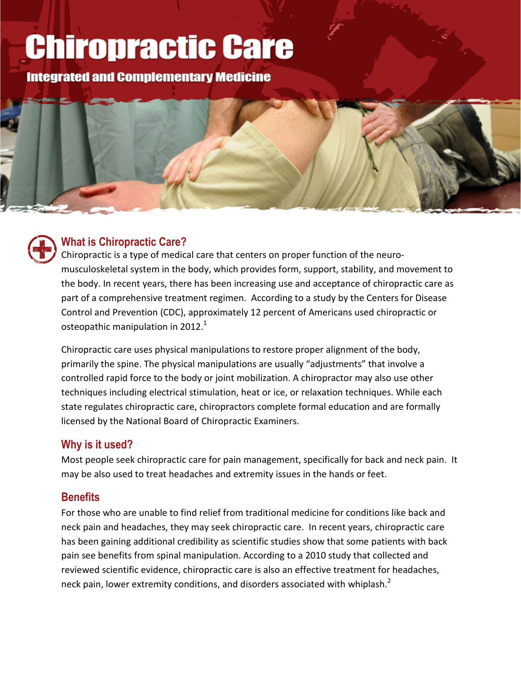# **Chiropractic Care**

**Integrated and Complementary Medicine** 



#### **What is Chiropractic Care?**

Chiropractic is a type of medical care that centers on proper function of the neuromusculoskeletal system in the body, which provides form, support, stability, and movement to the body. In recent years, there has been increasing use and acceptance of chiropractic care as part of a comprehensive treatment regimen. According to a study by the Centers for Disease Control and Prevention (CDC), approximately 12 percent of Americans used chiropractic or osteopathic manipulation in 2012. $^1$ 

Chiropractic care uses physical manipulations to restore proper alignment of the body, primarily the spine. The physical manipulations are usually "adjustments" that involve a controlled rapid force to the body or joint mobilization. A chiropractor may also use other techniques including electrical stimulation, heat or ice, or relaxation techniques. While each state regulates chiropractic care, chiropractors complete formal education and are formally licensed by the National Board of Chiropractic Examiners.

#### **Why is it used?**

Most people seek chiropractic care for pain management, specifically for back and neck pain. It may be also used to treat headaches and extremity issues in the hands or feet.

### **Benefits**

For those who are unable to find relief from traditional medicine for conditions like back and neck pain and headaches, they may seek chiropractic care. In recent years, chiropractic care has been gaining additional credibility as scientific studies show that some patients with back pain see benefits from spinal manipulation. According to a 2010 study that collected and reviewed scientific evidence, chiropractic care is also an effective treatment for headaches, neck pain, lower extremity conditions, and disorders associated with whiplash.<sup>2</sup>